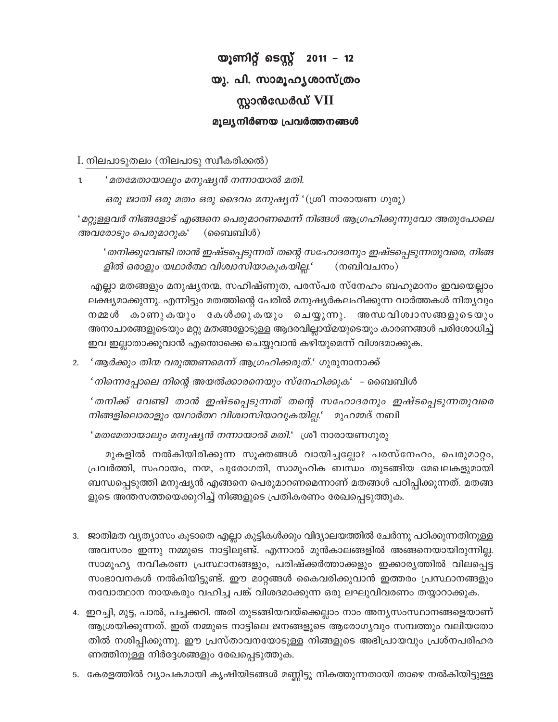# യൂണിറ്റ് ടെസ്റ്റ് 2011 – 12 യു. പി. സാമൂഹൃശാസ്ത്രം സ്ലാൻഡേർഡ് VII മൂല്യനിർണയ പ്രവർത്തനങ്ങൾ

I. നിലപാടുതലം (നിലപാടു സ്വീകരിക്കൽ)

'മതമേതായാലും മനുഷ്യൻ നന്നായാൽ മതി.  $\mathbf{1}$ 

ഒരു ജാതി ഒരു മതം ഒരു ദൈവം മനുഷ്യന് '(ശ്രീ നാരായണ ഗുരു)

'മറ്റുള്ളവർ നിങ്ങളോട് എങ്ങനെ പെരുമാറണമെന്ന് നിങ്ങൾ ആഗ്രഹിക്കുന്നുവോ അതുപോലെ (ബൈബിൾ) അവരോടും പെരുമാറുക'

' തനിക്കുവേണ്ടി താൻ ഇഷ്ടപ്പെടുന്നത് തന്റെ സഹോദരനും ഇഷ്ടപ്പെടുന്നതുവരെ, നിങ്ങ ളിൽ ഒരാളും യഥാർത്ഥ വിശ്വാസിയാകുകയില്ല.' (നബിവചനം)

എല്ലാ മതങ്ങളും മനുഷ്യനന്മ, സഹിഷ്ണുത, പരസ്പര സ്നേഹം ബഹുമാനം ഇവയെല്ലാം ലക്ഷ്യമാക്കുന്നു. എന്നിട്ടും മതത്തിന്റെ പേരിൽ മനുഷ്യർകലഹിക്കുന്ന വാർത്തകൾ നിത്യവും നമ്മൾ കാണുകയും കേൾക്കുകയും ചെയ്യുന്നു. അന്ധവിശ്വാസങ്ങളുടെയും അനാചാരങ്ങളുടെയും മറ്റു മതങ്ങളോടുള്ള ആദരവില്ലായ്മയുടെയും കാരണങ്ങൾ പരിശോധിച്ച് ഇവ ഇല്ലാതാക്കുവാൻ എന്തൊക്കെ ചെയ്യുവാൻ കഴിയുമെന്ന് വിശദമാക്കുക.

2. *' ആർക്കും തിന്മ വരുത്തണമെന്ന് ആഗ്രഹിക്കരുത്.' ഗു*രുനാനാക്ക്

'നിന്നെപ്പോലെ നിന്റെ അയൽക്കാരനെയും സ്നേഹിക്കുക' - ബൈബിൾ

'തനിക്ക് വേണ്ടി താൻ ഇഷ്ടപ്പെടുന്നത് തന്റെ സഹോദരനും ഇഷ്ടപ്പെടുന്നതുവരെ നിങ്ങളിലൊരാളും യഥാർത്ഥ വിശ്വാസിയാവുകയില്ല.' മുഹമ്മദ് നബി

'മതമേതായാലും മനുഷ്യൻ നന്നായാൽ മതി.' ശ്രീ നാരായണഗുരു

മുകളിൽ നൽകിയിരിക്കുന്ന സൂക്തങ്ങൾ വായിച്ചല്ലോ? പരസ്നേഹം, പെരുമാറ്റം, പ്രവർത്തി, സഹായം, നന്മ, പുരോഗതി, സാമൂഹിക ബന്ധം തുടങ്ങിയ മേഖലകളുമായി ബന്ധപ്പെടുത്തി മനുഷ്യൻ എങ്ങനെ പെരുമാറണമെന്നാണ് മതങ്ങൾ പഠിപ്പിക്കുന്നത്. മതങ്ങ ളുടെ അന്തസത്തയെക്കുറിച്ച് നിങ്ങളുടെ പ്രതികരണം രേഖപ്പെടുത്തുക.

- 3. ജാതിമത വ്യത്യാസം കൂടാതെ എല്ലാ കുട്ടികൾക്കും വിദ്യാലയത്തിൽ ചേർന്നു പഠിക്കുന്നതിനുള്ള അവസരം ഇന്നു നമ്മുടെ നാട്ടിലുണ്ട്. എന്നാൽ മുൻകാലങ്ങളിൽ അങ്ങനെയായിരുന്നില്ല. സാമൂഹ്യ നവീകരണ പ്രസ്ഥാനങ്ങളും, പരിഷ്ക്കർത്താക്കളും ഇക്കാര്യത്തിൽ വിലപ്പെട്ട സംഭാവനകൾ നൽകിയിട്ടുണ്ട്. ഈ മാറ്റങ്ങൾ കൈവരിക്കുവാൻ ഇത്തരം പ്രസ്ഥാനങ്ങളും നവോത്ഥാന നായകരും വഹിച്ച പങ്ക് വിശദമാക്കുന്ന ഒരു ലഘുവിവരണം തയ്യാറാക്കുക.
- 4. ഇറച്ചി, മുട്ട, പാൽ, പച്ചക്കറി. അരി തുടങ്ങിയവയ്ക്കെല്ലാം നാം അന്യസംസ്ഥാനങ്ങളെയാണ് ആശ്രയിക്കുന്നത്. ഇത് നമ്മുടെ നാട്ടിലെ ജനങ്ങളുടെ ആരോഗ്യവും സമ്പത്തും വലിയതോ തിൽ നശിപ്പിക്കുന്നു. ഈ പ്രസ്താവനയോടുള്ള നിങ്ങളുടെ അഭിപ്രായവും പ്രശ്നപരിഹര ണത്തിനുള്ള നിർദ്ദേശങ്ങളും രേഖപ്പെടുത്തുക.
- 5. കേരളത്തിൽ വ്യാപകമായി കൃഷിയിടങ്ങൾ മണ്ണിട്ടു നികത്തുന്നതായി താഴെ നൽകിയിട്ടുള്ള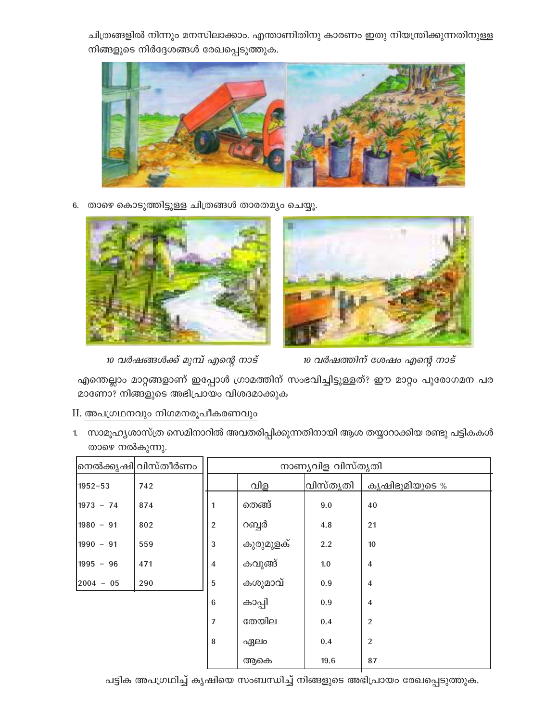ചിത്രങ്ങളിൽ നിന്നും മനസിലാക്കാം. എന്താണിതിനു കാരണം ഇതു നിയന്ത്രിക്കുന്നതിനുള്ള നിങ്ങളുടെ നിർദ്ദേശങ്ങൾ രേഖപ്പെടുത്തുക.



6. താഴെ കൊടുത്തിട്ടുള്ള ചിത്രങ്ങൾ താരതമ്യം ചെയ്യൂ.



10 വർഷങ്ങൾക്ക് മുമ്പ് എന്റെ നാട്



10 വർഷത്തിന് ശേഷം എന്റെ നാട്

എന്തെല്ലാം മാറ്റങ്ങളാണ് ഇപ്പോൾ ഗ്രാമത്തിന് സംഭവിച്ചിട്ടുള്ളത്? ഈ മാറ്റം പുരോഗമന പര മാണോ? നിങ്ങളുടെ അഭിപ്രായം വിശദമാക്കുക

II. അപഗ്രഥനവും നിഗമനരൂപീകരണവും

1. സാമൂഹ്യശാസ്ത്ര സെമിനാറിൽ അവതരിപ്പിക്കുന്നതിനായി ആശ തയ്യാറാക്കിയ രണ്ടു പട്ടികകൾ താഴെ നൽകുന്നു.

|             | നെൽക്കൃഷി വിസ്തീർണം | നാണ്യവിള വിസ്തൃതി |           |          |                |
|-------------|---------------------|-------------------|-----------|----------|----------------|
| $1952 - 53$ | 742                 |                   | വിള       | വിസ്തൃതി | കൃഷിഭൂമിയുടെ % |
| $1973 - 74$ | 874                 | തെങ്ങ്<br>1       |           | 9.0      | 40             |
| $1980 - 91$ | 802                 | $\overline{2}$    | റബ്ബർ     | 4.8      | 21             |
| $1990 - 91$ | 559                 | $\mathbf{3}$      | കുരുമുളക് | 2.2      | 10             |
| $1995 - 96$ | 471                 | $\overline{4}$    | കവുങ്ങ്   | 1.0      | $\overline{4}$ |
| $2004 - 05$ | 290                 | 5                 | കശുമാവ്   | 0.9      | $\overline{4}$ |
|             |                     | $6\phantom{1}6$   | കാപ്പി    | 0.9      | $\overline{4}$ |
|             |                     | 7                 | തേയില     | 0.4      | 2              |
|             |                     | 8                 | ഏലം       | 0.4      | $\overline{2}$ |
|             |                     |                   | ആകെ       | 19.6     | 87             |

പട്ടിക അപഗ്രഥിച്ച് കൃഷിയെ സംബന്ധിച്ച് നിങ്ങളുടെ അഭിപ്രായം രേഖപ്പെടുത്തുക.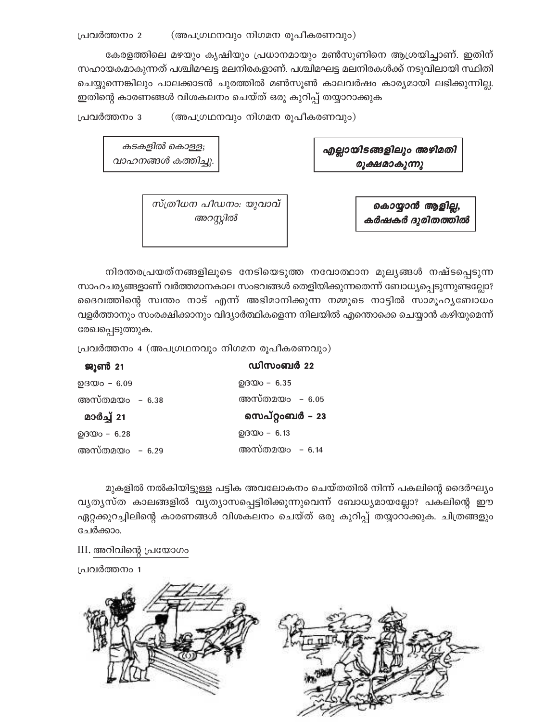കേരളത്തിലെ മഴയും കൃഷിയും പ്രധാനമായും മൺസൂണിനെ ആശ്രയിച്ചാണ്. ഇതിന് സഹായകമാകുന്നത് പശ്ചിമഘട്ട മലനിരകളാണ്. പശ്ചിമഘട്ട മലനിരകൾക്ക് നടുവിലായി സ്ഥിതി ചെയ്യുന്നെങ്കിലും പാലക്കാടൻ ചുരത്തിൽ മൺസൂൺ കാലവർഷം കാര്യമായി ലഭിക്കുന്നില്ല. ഇതിന്റെ കാരണങ്ങൾ വിശകലനം ചെയ്ത് ഒരു കുറിപ്പ് തയ്യാറാക്കുക

പ്രവർത്തനം 3 (അപഗ്രഥനവും നിഗമന രൂപീകരണവും)

എല്ലായിടങ്ങളിലും അഴിമതി രൂക്ഷമാകുന്നു

കൊയ്യാൻ ആളില്ല,

കർഷകർ ദുരിതത്തിൽ

കടകളിൽ കൊള്ള; വാഹനങ്ങൾ കത്തിച്ചു.

> സ്ത്രീധന പീഡനം: യുവാവ് അറസ്റ്റിൽ

നിരന്തരപ്രയത്നങ്ങളിലൂടെ നേടിയെടുത്ത നവോത്ഥാന മൂല്യങ്ങൾ നഷ്ടപ്പെടുന്ന സാഹചര്യങ്ങളാണ് വർത്തമാനകാല സംഭവങ്ങൾ തെളിയിക്കുന്നതെന്ന് ബോധ്യപ്പെടുന്നുണ്ടല്ലോ? ദൈവത്തിന്റെ സ്വന്തം നാട് എന്ന് അഭിമാനിക്കുന്ന നമ്മുടെ നാട്ടിൽ സാമൂഹ്യബോധം വളർത്താനും സംരക്ഷിക്കാനും വിദ്യാർത്ഥികളെന്ന നിലയിൽ എന്തൊക്കെ ചെയ്യാൻ കഴിയുമെന്ന് രേഖപ്പെടുത്തുക.

പ്രവർത്തനം 4 (അപഗ്രഥനവും നിഗമന രൂപീകരണവും)

| ജൂൺ 21          | ഡിസംബർ 22                |
|-----------------|--------------------------|
| $0.0000 - 6.09$ | $Q$ $Q$ $Q$ $Q$ $-$ 6.35 |
| അസ്തമയം – 6.38  | അസ്തമയം – 6.05           |
| മാർച്ച് 21      | സെപ്റ്റംബർ – 23          |
| $Q_3Q_0 - 6.28$ | $Q_3Q_0 - 6.13$          |
| അസ്തമയം – 6.29  | അസ്തമയം – 6.14           |

മുകളിൽ നൽകിയിട്ടുള്ള പട്ടിക അവലോകനം ചെയ്തതിൽ നിന്ന് പകലിന്റെ ദൈർഘ്യം വ്യത്യസ്ത കാലങ്ങളിൽ വ്യത്യാസപ്പെട്ടിരിക്കുന്നുവെന്ന് ബോധ്യമായല്ലോ? പകലിന്റെ ഈ ഏറ്റക്കുറച്ചിലിന്റെ കാരണങ്ങൾ വിശകലനം ചെയ്ത് ഒരു കുറിപ്പ് തയ്യാറാക്കുക. ചിത്രങ്ങളും ചേർക്കാം.

III. അറിവിന്റെ പ്രയോഗം

പ്രവർത്തനം 1

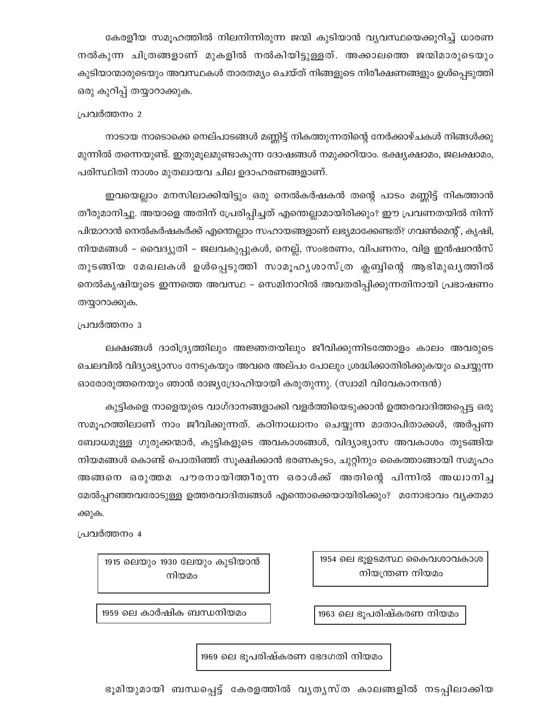കേരളീയ സമൂഹത്തിൽ നിലനിന്നിരുന്ന ജന്മി കുടിയാൻ വ്യവസ്ഥയെക്കുറിച്ച് ധാരണ നൽകുന്ന ചിത്രങ്ങളാണ് മുകളിൽ നൽകിയിട്ടുള്ളത്. അക്കാലത്തെ ജന്മിമാരുടെയും കുടിയാന്മാരുടെയും അവസ്ഥകൾ താരതമ്യം ചെയ്ത് നിങ്ങളുടെ നിരീക്ഷണങ്ങളും ഉൾപ്പെടുത്തി ഒരു കുറിപ്പ് തയ്യാറാക്കുക.

#### പ്രവർത്തനം 2

നാടായ നാടൊക്കെ നെല്പാടങ്ങൾ മണ്ണിട്ട് നികത്തുന്നതിന്റെ നേർക്കാഴ്ചകൾ നിങ്ങൾക്കു മുന്നിൽ തന്നെയുണ്ട്. ഇതുമൂലമുണ്ടാകുന്ന ദോഷങ്ങൾ നമുക്കറിയാം. ഭക്ഷ്യക്ഷാമം, ജലക്ഷാമം, പരിസ്ഥിതി നാശം മുതലായവ ചില ഉദാഹരണങ്ങളാണ്.

ഇവയെല്ലാം മനസിലാക്കിയിട്ടും ഒരു നെൽകർഷകൻ തന്റെ പാടം മണ്ണിട്ട് നികത്താൻ തീരുമാനിച്ചു. അയാളെ അതിന് പ്രേരിപ്പിച്ചത് എന്തെല്ലാമായിരിക്കും? ഈ പ്രവണതയിൽ നിന്ന് പിന്മാറാൻ നെൽകർഷകർക്ക് എന്തെല്ലാം സഹായങ്ങളാണ് ലഭ്യമാക്കേണ്ടത്? ഗവൺമെന്റ്, കൃഷി, നിയമങ്ങൾ – വൈദ്യുതി – ജലവകുപ്പുകൾ, നെല്ല്, സംഭരണം, വിപണനം, വിള ഇൻഷ്വറൻസ് തുടങ്ങിയ മേഖലകൾ ഉൾപ്പെടുത്തി സാമൂഹൃശാസ്ത്ര ക്ലബ്ബിന്റെ ആഭിമുഖൃത്തിൽ നെൽകൃഷിയുടെ ഇന്നത്തെ അവസ്ഥ – സെമിനാറിൽ അവതരിപ്പിക്കുന്നതിനായി പ്രഭാഷണം തയ്യാറാക്കുക.

#### പ്രവർത്തനം 3

ലക്ഷങ്ങൾ ദാരിദ്ര്യത്തിലും അജ്ഞതയിലും ജീവിക്കുന്നിടത്തോളം കാലം അവരുടെ ചെലവിൽ വിദ്യാഭ്യാസം നേടുകയും അവരെ അല്പം പോലും ശ്രദ്ധിക്കാതിരിക്കുകയും ചെയ്യുന്ന ഓരോരുത്തനെയും ഞാൻ രാജ്യദ്രോഹിയായി കരുതുന്നു. (സ്വാമി വിവേകാനന്ദൻ)

കുട്ടികളെ നാളെയുടെ വാഗ്ദാനങ്ങളാക്കി വളർത്തിയെടുക്കാൻ ഉത്തരവാദിത്തപ്പെട്ട ഒരു സമൂഹത്തിലാണ് നാം ജീവിക്കുന്നത്. കഠിനാധ്വാനം ചെയ്യുന്ന മാതാപിതാക്കൾ, അർപ്പണ ബോധമുള്ള ഗുരുക്കന്മാർ, കുട്ടികളുടെ അവകാശങ്ങൾ, വിദ്യാഭ്യാസ അവകാശം തുടങ്ങിയ നിയമങ്ങൾ കൊണ്ട് പൊതിഞ്ഞ് സൂക്ഷിക്കാൻ ഭരണകൂടം, ചുറ്റിനും കൈത്താങ്ങായി സമൂഹം അങ്ങനെ ഒരുത്തമ പൗരനായിത്തീരുന്ന ഒരാൾക്ക് അതിന്റെ പിന്നിൽ അധ്വാനിച്ച മേൽപ്പറഞ്ഞവരോടുള്ള ഉത്തരവാദിത്വങ്ങൾ എന്തൊക്കെയായിരിക്കും? മനോഭാവം വ്യക്തമാ ക്കുക.

പ്രവർത്തനം 4

| 1915 ലെയും 1930 ലേയും കുടിയാൻ |  |  |  |  |  |  |
|-------------------------------|--|--|--|--|--|--|
| നിയമം                         |  |  |  |  |  |  |

1954 ലെ ഭൂഉടമസ്ഥ കൈവശാവകാശ നിയന്ത്രണ നിയമം

1963 ലെ ഭുപരിഷ്കരണ നിയമം

1959 ലെ കാർഷിക ബന്ധനിയമം

1969 ലെ ഭൂപരിഷ്കരണ ഭേദഗതി നിയമം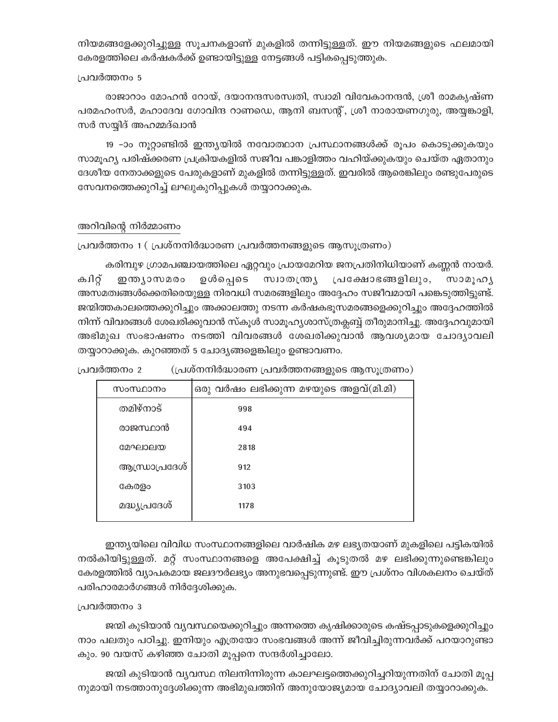നിയമങ്ങളേക്കുറിച്ചുള്ള സൂചനകളാണ് മുകളിൽ തന്നിട്ടുള്ളത്. ഈ നിയമങ്ങളുടെ ഫലമായി കേരളത്തിലെ കർഷകർക്ക് ഉണ്ടായിട്ടുള്ള നേട്ടങ്ങൾ പട്ടികപ്പെടുത്തുക.

#### പ്രവർത്തനം 5

രാജാറാം മോഹൻ റോയ്, ദയാനന്ദസരസ്വതി, സ്വാമി വിവേകാനന്ദൻ, ശ്രീ രാമകൃഷ്ണ പരമഹംസർ, മഹാദേവ ഗോവിന്ദ റാണഡെ, ആനി ബസന്റ്, ശ്രീ നാരായണഗുരു, അയ്യങ്കാളി, സർ സയ്യിദ് അഹമ്മദ്ഖാൻ

19 –ാം നൂറ്റാണ്ടിൽ ഇന്ത്യയിൽ നവോത്ഥാന പ്രസ്ഥാനങ്ങൾക്ക് രൂപം കൊടുക്കുകയും സാമൂഹ്യ പരിഷ്ക്കരണ പ്രക്രിയകളിൽ സജീവ പങ്കാളിത്തം വഹിയ്ക്കുകയും ചെയ്ത ഏതാനും ദേശീയ നേതാക്കളുടെ പേരുകളാണ് മുകളിൽ തന്നിട്ടുള്ളത്. ഇവരിൽ ആരെങ്കിലും രണ്ടുപേരുടെ സേവനത്തെക്കുറിച്ച് ലഘുകുറിപ്പുകൾ തയ്യാറാക്കുക.

## അറിവിന്റെ നിർമ്മാണം

പ്രവർത്തനം 1 (പ്രശ്നനിർദ്ധാരണ പ്രവർത്തനങ്ങളുടെ ആസൂത്രണം)

കരിമ്പുഴ ഗ്രാമപഞ്ചായത്തിലെ ഏറ്റവും പ്രായമേറിയ ജനപ്രതിനിധിയാണ് കണ്ണൻ നായർ. ക്വറ്റ് ഇന്ത്യാസമരം ഉൾപ്പെടെ സ്വാതന്ത്ര്യ പ്രക്ഷോഭങ്ങളിലും, സാമൂഹൃ അസമത്വങ്ങൾക്കെതിരെയുള്ള നിരവധി സമരങ്ങളിലും അദ്ദേഹം സജീവമായി പങ്കെടുത്തിട്ടുണ്ട്. ജന്മിത്തകാലത്തെക്കുറിച്ചും അക്കാലത്തു നടന്ന കർഷകഭൂസമരങ്ങളെക്കുറിച്ചും അദ്ദേഹത്തിൽ നിന്ന് വിവരങ്ങൾ ശേഖരിക്കുവാൻ സ്കൂൾ സാമൂഹ്യശാസ്ത്രക്ലബ്ബ് തീരുമാനിച്ചു. അദ്ദേഹവുമായി അഭിമുഖ സംഭാഷണം നടത്തി വിവരങ്ങൾ ശേഖരിക്കുവാൻ ആവശ്യമായ ചോദ്യാവലി തയ്യാറാക്കുക. കുറഞ്ഞത് 5 ചോദ്യങ്ങളെങ്കിലും ഉണ്ടാവണം.

(പ്രശ്നനിർദ്ധാരണ പ്രവർത്തനങ്ങളുടെ ആസൂത്രണം) പ്രവർത്തനം 2

| സംസ്ഥാനം       | ഒരു വർഷം ലഭിക്കുന്ന മഴയുടെ അളവ്(മി.മി) |  |  |
|----------------|----------------------------------------|--|--|
| തമിഴ്നാട്      | 998                                    |  |  |
| രാജസ്ഥാൻ       | 494                                    |  |  |
| മേഘാലയ         | 2818                                   |  |  |
| ആന്ധ്രാപ്രദേശ് | 912                                    |  |  |
| കേരളം          | 3103                                   |  |  |
| മദ്ധ്യപ്രദേശ്  | 1178                                   |  |  |
|                |                                        |  |  |

ഇന്ത്യയിലെ വിവിധ സംസ്ഥാനങ്ങളിലെ വാർഷിക മഴ ലഭ്യതയാണ് മുകളിലെ പട്ടികയിൽ നൽകിയിട്ടുള്ളത്. മറ്റ് സംസ്ഥാനങ്ങളെ അപേക്ഷിച്ച് കൂടുതൽ മഴ ലഭിക്കുന്നുണ്ടെങ്കിലും കേരളത്തിൽ വ്യാപകമായ ജലദൗർലഭ്യം അനുഭവപ്പെടുന്നുണ്ട്. ഈ പ്രശ്നം വിശകലനം ചെയ്ത് പരിഹാരമാർഗങ്ങൾ നിർദ്ദേശിക്കുക.

#### പ്രവർത്തനം 3

ജന്മി കുടിയാൻ വ്യവസ്ഥയെക്കുറിച്ചും അന്നത്തെ കൃഷിക്കാരുടെ കഷ്ടപ്പാടുകളെക്കുറിച്ചും നാം പലതും പഠിച്ചു. ഇനിയും എത്രയോ സംഭവങ്ങൾ അന്ന് ജീവിച്ചിരുന്നവർക്ക് പറയാറുണ്ടാ കും. 90 വയസ് കഴിഞ്ഞ ചോതി മൂപ്പനെ സന്ദർശിച്ചാലോ.

ജന്മി കുടിയാൻ വ്യവസ്ഥ നിലനിന്നിരുന്ന കാലഘട്ടത്തെക്കുറിച്ചറിയുന്നതിന് ചോതി മൂപ്പ നുമായി നടത്താനുദ്ദേശിക്കുന്ന അഭിമുഖത്തിന് അനുയോജ്യമായ ചോദ്യാവലി തയ്യാറാക്കുക.